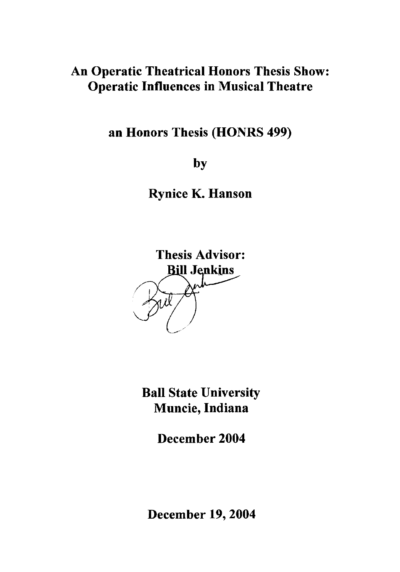## An Operatic Theatrical Honors Thesis Show: Operatic Influences in Musical Theatre

an Honors Thesis (HONRS 499)

by

Rynice K. Hanson



Ball State University Muncie, Indiana

December 2004

December 19, 2004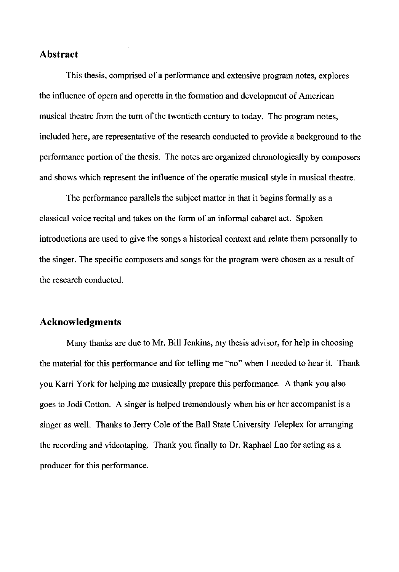#### **Abstract**

This thesis, comprised of a performance and extensive program notes, explores the influence of opera and operetta in the formation and development of American musical theatre from the turn of the twentieth century to today. The program notes, included here, are representative of the research conducted to provide a background to the performance portion of the thesis. The notes are organized chronologically by composers and shows which represent the influence of the operatic musical style in musical theatre.

The performance parallels the subject matter in that it begins formally as a classical voice recital and takes on the form of an informal cabaret act. Spoken introductions are used to give the songs a historical context and relate them personally to the singer. The specific composers and songs for the program were chosen as a result of the research conducted.

### **Acknowledgments**

Many thanks are due to Mr. Bill Jenkins, my thesis advisor, for help in choosing the material for this performance and for telling me "no" when I needed to hear it. Thank you Karri York for helping me musically prepare this performance. A thank you also goes to Jodi Cotton. A singer is helped tremendously when his or her accompanist is a singer as well. Thanks to Jerry Cole of the Ball State University Teleplex for arranging the recording and videotaping. Thank you finally to Dr. Raphael Lao for acting as a producer for this performance.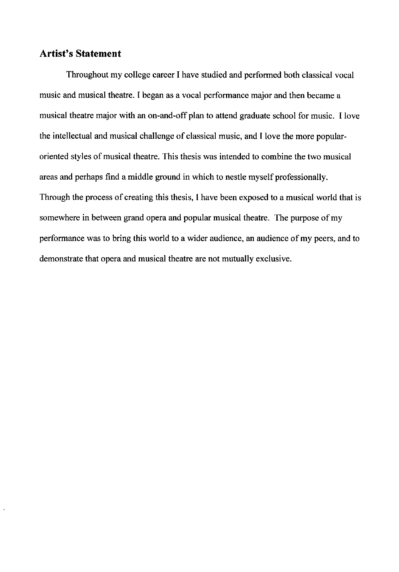### **Artist's Statement**

Throughout my college career I have studied and performed both classical vocal music and musical theatre. I began as a vocal performance major and then became a musical theatre major with an on-and-off plan to attend graduate school for music. I love the intellectual and musical challenge of classical music, and I love the more popularoriented styles of musical theatre. This thesis was intended to combine the two musical areas and perhaps find a middle ground **in** which to nestle myself professionally. Through the process of creating this thesis, I have been exposed to a musical world that is somewhere **in** between grand opera and popular musical theatre. The purpose of my performance was to bring this world to a wider audience, an audience of my peers, and to demonstrate that opera and musical theatre are not mutually exclusive.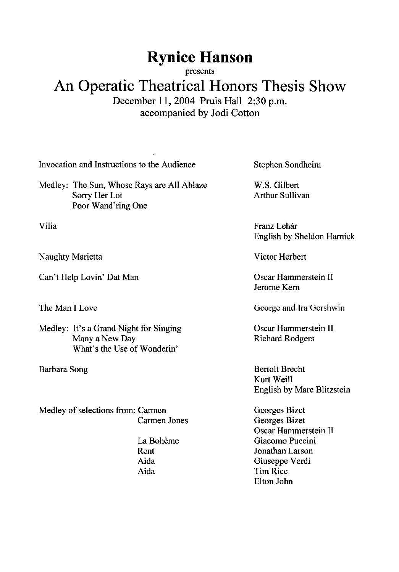# **Rynice Hanson**

presents

## **An Operatic Theatrical Honors Thesis Show**  December 11, 2004 Pruis Hall 2:30 p.m. accompanied by Jodi Cotton

Invocation and Instructions to the Audience

Medley: The Sun, Whose Rays are All Ablaze Sorry Her Lot Poor Wand'ring One

Vilia

Naughty Marietta

Can't Help Lovin' Dat Man

The Man I Love

Medley: It's a Grand Night for Singing Many a New Day What's the Use of Wonderin'

Barbara Song

Medley of selections from: Carmen Carmen Jones

> La Boheme Rent Aida Aida

Stephen Sondheim

W.S. Gilbert Arthur Sullivan

Franz Lehár English by Sheldon Harnick

Victor Herbert

Oscar Hammerstein II Jerome Kern

George and Ira Gershwin

Oscar Hammerstein II Richard Rodgers

Bertolt Brecht Kurt Weill English by Marc Blitzstein

Georges Bizet Georges Bizet Oscar Hammerstein II Giacomo Puccini Jonathan Larson Giuseppe Verdi Tim Rice Elton John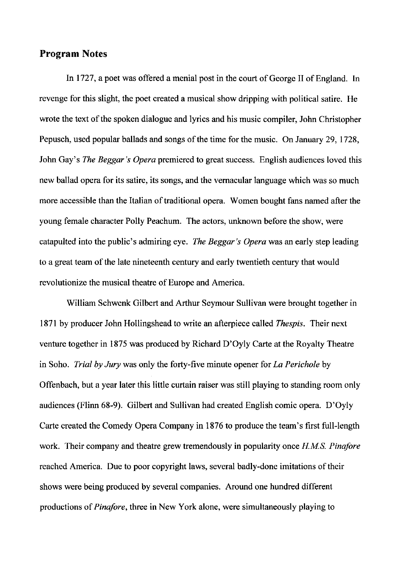### **Program Notes**

In 1727, a poet was offered a menial post in the court of George II of England. In revenge for this slight, the poet created a musical show dripping with political satire. He wrote the text of the spoken dialogue and lyrics and his music compiler, John Christopher Pepusch, used popular ballads and songs of the time for the music. On January 29, 1728, John Gay's *The Beggar's Opera* premiered to great success. English audiences loved this new ballad opera for its satire, its songs, and the vernacular language which was so much more accessible than the Italian of traditional opera. Women bought fans named after the young female character Polly Peachum. The actors, unknown before the show, were catapulted into the public's admiring eye. *The Beggar's Opera* was an early step leading to a great team of the late nineteenth century and early twentieth century that would revolutionize the musical theatre of Europe and America.

William Schwenk Gilbert and Arthur Seymour Sullivan were brought together in 1871 by producer John Hollingshead to write an afterpiece called *Thespis.* Their next venture together in 1875 was produced by Richard D'Oyly Carte at the Royalty Theatre in Soho. *Trial by Jury* was only the forty-five minute opener for *La Perichole* by Offenbach, but a year later this little curtain raiser was still playing to standing room only audiences (Flinn 68-9). Gilbert and Sullivan had created English comic opera. D'Oyly Carte created the Comedy Opera Company in 1876 to produce the team's first full-length work. Their company and theatre grew tremendously in popularity once *HMS. Pinafore*  reached America. Due to poor copyright laws, several badly-done imitations of their shows were being produced by several companies. Around one hundred different productions of *Pinafore,* three in New York alone, were simultaneously playing to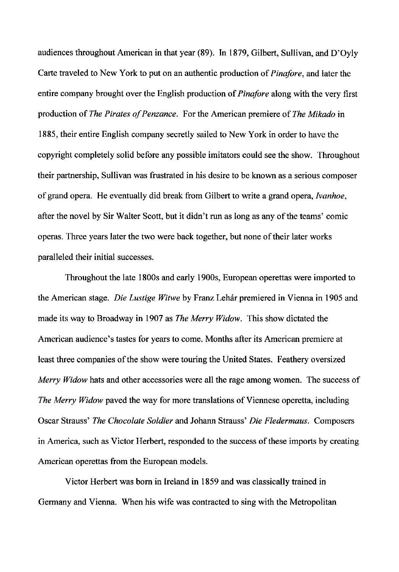audiences throughout American in that year (89). **In** 1879, Gilbert, Sullivan, and D'Oyly Carte traveled to New York to put on an authentic production of *Pinafore,* and later the entire company brought over the English production of *Pinafore* along with the very first production of *The Pirates of Penzance.* For the American premiere of *The Mikado* in 1885, their entire English company secretly sailed to New York in order to have the copyright completely solid before any possible imitators could see the show. Throughout their partnership, Sullivan was frustrated in his desire to be known as a serious composer of grand opera. He eventually did break from Gilbert to write a grand opera, *Ivanhoe,*  after the novel by Sir Walter Scott, but it didn't run as long as any of the teams' comic operas. Three years later the two were back together, but none of their later works paralleled their initial successes.

Throughout the late 1800s and early 1900s, European operettas were imported to the American stage. *Die Lustige Witwe* by Franz Lebar premiered in Vienna in 1905 and made its way to Broadway in 1907 as *The Merry Widow.* This show dictated the American audience's tastes for years to come. Months after its American premiere at least three companies of the show were touring the United States. Feathery oversized *Merry Widow* hats and other accessories were all the rage among women. The success of *The Merry Widow* paved the way for more translations of Viennese operetta, including Oscar Strauss' *The Chocolate Soldier* and Johann Strauss' *Die Fledermaus.* Composers in America, such as Victor Herbert, responded to the success of these imports by creating American operettas from the European models.

Victor Herbert was born in Ireland in 1859 and was classically trained in Germany and Vienna. When his wife was contracted to sing with the Metropolitan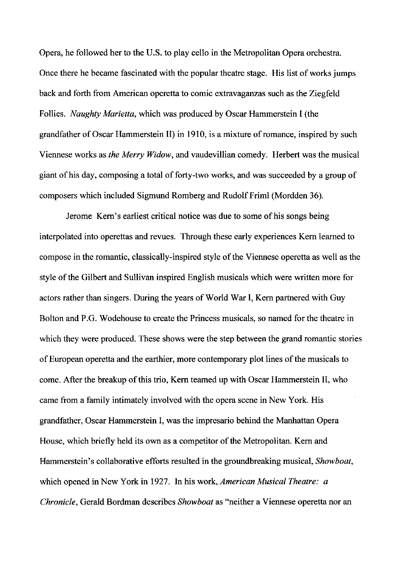Opera, he followed her to the U.S. to play cello in the Metropolitan Opera orchestra. Once there he became fascinated with the popular theatre stage. His list of works jumps back and forth from American operetta to comic extravaganzas such as the Ziegfeld Follies. *Naughty Marietta,* which was produced by Oscar Hammerstein I (the grandfather of Oscar Hammerstein II) in 1910, is a mixture of romance, inspired by such Viennese works as *the Merry Widow,* and vaudevillian comedy. Herbert was the musical giant of his day, composing a total of forty-two works, and was succeeded by a group of composers which included Sigmund Romberg and Rudolf Friml (Mordden 36).

Jerome Kern's earliest critical notice was due to some of his songs being interpolated into operettas and revues. Through these early experiences Kern learned to compose in the romantic, classically-inspired style of the Viennese operetta as well as the style of the Gilbert and Sullivan inspired English musicals which were written more for actors rather than singers. During the years of World War **I,** Kern partnered with Guy Bolton and P.G. Wodehouse to create the Princess musicals, so named for the theatre in which they were produced. These shows were the step between the grand romantic stories of European operetta and the earthier, more contemporary plot lines of the musicals to come. After the breakup of this trio, Kern teamed up with Oscar Hammerstein II, who came from a family intimately involved with the opera scene in New York. His grandfather, Oscar Hammerstein **I,** was the impresario behind the Manhattan Opera House, which briefly held its own as a competitor of the Metropolitan. Kern and Hammerstein's collaborative efforts resulted in the groundbreaking musical, *Showboat,*  which opened in New York in 1927. In his work, *American Musical Theatre: a Chronicle,* Gerald Bordman describes *Showboat* as "neither a Viennese operetta nor an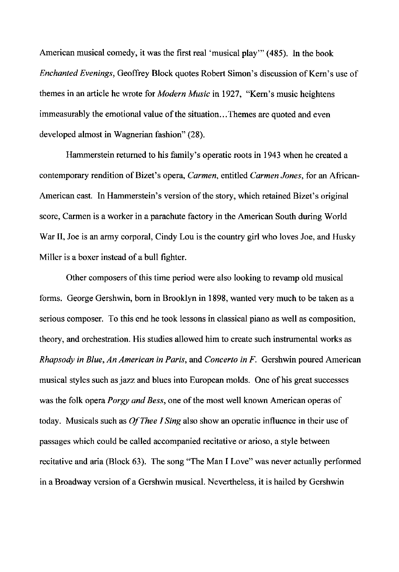American musical comedy, it was the first real 'musical play'" (485). In the book *Enchanted Evenings,* Geoffrey Block quotes Robert Simon's discussion of Kern's use of themes in an article he wrote for *Modern Music* in 1927, "Kern's music heightens immeasurably the emotional value of the situation...Themes are quoted and even developed almost in Wagnerian fashion" (28).

Hamrnerstein returned to his family's operatic roots in 1943 when he created a contemporary rendition of Bizet's opera, *Carmen,* entitled *Carmen Jones,* for an African-American cast. In Hammerstein's version of the story, which retained Bizet's original score, Carmen is a worker in a parachute factory in the American South during World War **II,** Joe is an army corporal, Cindy Lou is the country girl who loves Joe, and Husky Miller is a boxer instead of a bull fighter.

Other composers of this time period were also looking to revamp old musical forms. George Gershwin, born in Brooklyn in 1898, wanted very much to be taken as a serious composer. To this end he took lessons in classical piano as well as composition, theory, and orchestration. His studies allowed him to create such instrumental works as *Rhapsody in Blue, An American in Paris,* and *Concerto in F.* Gershwin poured American musical styles such as jazz and blues into European molds. One of his great successes was the folk opera *Porgy and Bess,* one of the most well known American operas of today. Musicals such as *O/Thee I Sing* also show an operatic influence in their use of passages which could be called accompanied recitative or arioso, a style between recitative and aria (Block 63). The song "The Man I Love" was never actually performed in a Broadway version of a Gershwin musical. Nevertheless, it is hailed by Gershwin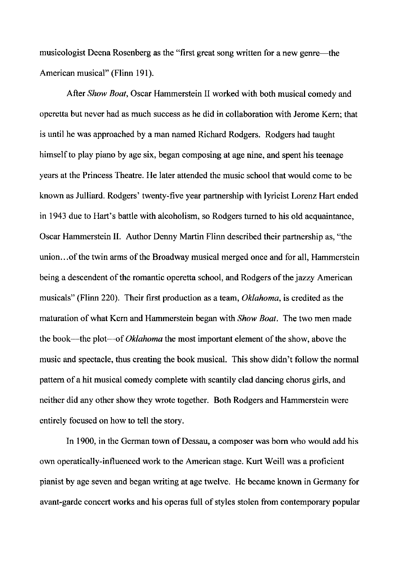musicologist Deena Rosenberg as the "first great song written for a new genre—the American musical" (Flinn 191).

After *Show Boat,* Oscar Hammerstein II worked with both musical comedy and operetta but never had as much success as he did in collaboration with Jerome Kern; that is until he was approached by a man named Richard Rodgers. Rodgers had taught himself to play piano by age six, began composing at age nine, and spent his teenage years at the Princess Theatre. He later attended the music school that would come to be known as Julliard. Rodgers' twenty-five year partnership with lyricist Lorenz Hart ended in 1943 due to Hart's battle with alcoholism, so Rodgers turned to his old acquaintance, Oscar Hammerstein II. Author Denny Martin Flinn described their partnership as, "the union... of the twin arms of the Broadway musical merged once and for all, Hammerstein being a descendent of the romantic operetta school, and Rodgers of the jazzy American musicals" (Flinn 220). Their first production as a team, *Oklahoma,* is credited as the maturation of what Kern and Hammerstein began with *Show Boat.* The two men made the book----the plot----of *Oklahoma* the most important element of the show, above the music and spectacle, thus creating the book musical. This show didn't follow the normal pattern of a hit musical comedy complete with scantily clad dancing chorus girls, and neither did any other show they wrote together. Both Rodgers and Hammerstein were entirely focused on how to tell the story.

In 1900, in the German town of Dessau, a composer was born who would add his own operatically-influenced work to the American stage. Kurt Weill was a proficient pianist by age seven and began writing at age twelve. He became known in Germany for avant-garde concert works and his operas full of styles stolen from contemporary popular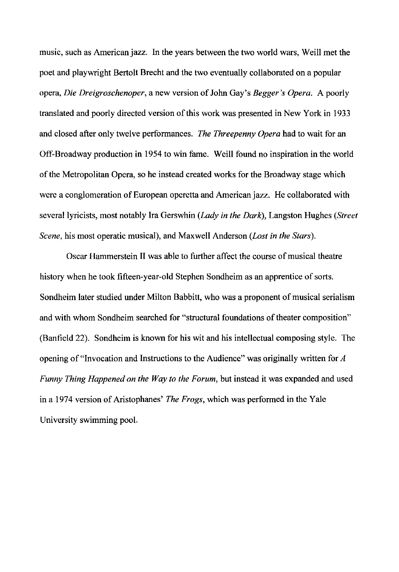music, such as American jazz. In the years between the two world wars, Weill met the poet and playwright Bertolt Brecht and the two eventually collaborated on a popular opera, *Die Dreigroschenoper,* a new version of John Gay's *Begger's Opera.* A poorly translated and poorly directed version of this work was presented in New York in 1933 and closed after only twelve performances. *The Threepenny Opera* had to wait for an Off-Broadway production in 1954 to win fame. Weill found no inspiration in the world of the Metropolitan Opera, so he instead created works for the Broadway stage which were a conglomeration of European operetta and American jazz. He collaborated with several lyricists, most notably Ira Gerswhin *(Lady in the Dark),* Langston Hughes *(Street Scene,* his most operatic musical), and Maxwell Anderson *(Lost in the Stars).* 

Oscar Hammerstein II was able to further affect the course of musical theatre history when he took fifteen-year-old Stephen Sondheim as an apprentice of sorts. Sondheim later studied under Milton Babbitt, who was a proponent of musical serialism and with whom Sondheim searched for "structural foundations of theater composition" (Banfield 22). Sondheim is known for his wit and his intellectual composing style. The opening of "Invocation and Instructions to the Audience" was originally written for A *Funny Thing Happened on the Way to the Forum,* but instead it was expanded and used in a 1974 version of Aristophanes' *The Frogs,* which was performed in the Yale University swimming pool.